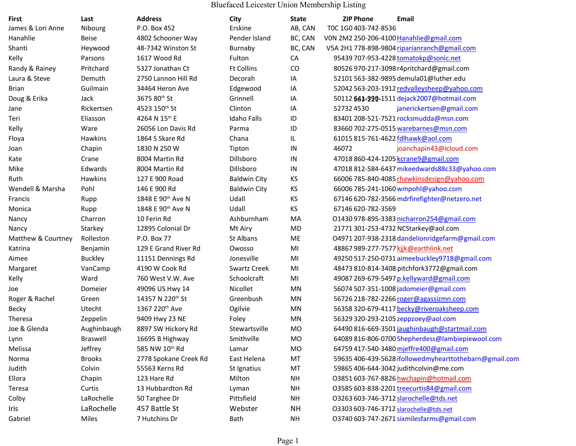Bluefaced Leicester Union Membership Listing

| First              | Last           | <b>Address</b>                | City                | <b>State</b> | <b>ZIP Phone</b>     | Email                                                  |
|--------------------|----------------|-------------------------------|---------------------|--------------|----------------------|--------------------------------------------------------|
| James & Lori Anne  | Nibourg        | P.O. Box 452                  | Erskine             | AB, CAN      | TOC 1G0 403-742-8536 |                                                        |
| Hanahlie           | <b>Beise</b>   | 4802 Schooner Way             | Pender Island       | BC, CAN      |                      | VON 2M2 250-206-4100 Hanahlie@gmail.com                |
| Shanti             | Heywood        | 48-7342 Winston St            | Burnaby             | BC, CAN      |                      | V5A 2H1 778-898-9804 riparianranch@gmail.com           |
| Kelly              | Parsons        | 1617 Wood Rd                  | Fulton              | CA           |                      | 95439 707-953-4228 tomatokp@sonic.net                  |
| Randy & Rainey     | Pritchard      | 5327 Jonathan Ct              | <b>Ft Collins</b>   | CO           |                      | 80526 970-217-3098 r4pritchard@gmail.com               |
| Laura & Steve      | Demuth         | 2750 Lannon Hill Rd           | Decorah             | IA           |                      | 52101 563-382-9895 demula01@luther.edu                 |
| Brian              | Guilmain       | 34464 Heron Ave               | Edgewood            | IA           |                      | 52042 563-203-1912 redvalleysheep@yahoo.com            |
| Doug & Erika       | Jack           | 3675 80 <sup>th</sup> St      | Grinnell            | IA           |                      | 50112 643-220-1511 dejack2007@hotmail.com              |
| Jane               | Rickertsen     | 4523 150 <sup>th</sup> St     | Clinton             | IA           | 527324530            | janerickertsen@gmail.com                               |
| Teri               | Eliasson       | 4264 N 15th E                 | <b>Idaho Falls</b>  | ID           |                      | 83401 208-521-7521 rocksmudda@msn.com                  |
| Kelly              | Ware           | 26056 Lon Davis Rd            | Parma               | ID           |                      | 83660 702-275-0515 warebarnes@msn.com                  |
| Floya              | Hawkins        | 1864 S Skare Rd               | Chana               | IL           |                      | 61015 815-761-4622 fdlhawk@aol.com                     |
| Joan               | Chapin         | 1830 N 250 W                  | Tipton              | IN           | 46072                | joanchapin43@icloud.com                                |
| Kate               | Crane          | 8004 Martin Rd                | Dillsboro           | IN           |                      | 47018 860-424-1205 kcrane9@gmail.com                   |
| Mike               | Edwards        | 8004 Martin Rd                | Dillsboro           | IN           |                      | 47018 812-584-6437 mikeedwards88c33@yahoo.com          |
| Ruth               | Hawkins        | 127 E 900 Road                | <b>Baldwin City</b> | KS           |                      | 66006 785-840-4085 rhawkinsdesign@yahoo.com            |
| Wendell & Marsha   | Pohl           | 146 E 900 Rd                  | <b>Baldwin City</b> | KS           |                      | 66006 785-241-1060 wmpohl@yahoo.com                    |
| Francis            | Rupp           | 1848 E 90th Ave N             | Udall               | KS           |                      | 67146 620-782-3566 mdrfirefighter@netzero.net          |
| Monica             | Rupp           | 1848 E 90 <sup>th</sup> Ave N | Udall               | KS           | 67146 620-782-3569   |                                                        |
| Nancy              | Charron        | 10 Ferin Rd                   | Ashburnham          | MA           |                      | 01430 978-895-3383 nicharron254@gmail.com              |
| Nancy              | Starkey        | 12895 Colonial Dr             | Mt Airy             | MD           |                      | 21771 301-253-4732 NCStarkey@aol.com                   |
| Matthew & Courtney | Rolleston      | P.O. Box 77                   | St Albans           | ME           |                      | 04971 207-938-2318 dandelionridgefarm@gmail.com        |
| Katrina            | Benjamin       | 129 E Grand River Rd          | Owosso              | MI           |                      | 48867 989-277-7577 kjjk@earthlink.net                  |
| Aimee              | <b>Buckley</b> | 11151 Dennings Rd             | Jonesville          | MI           |                      | 49250 517-250-0731 aimeebuckley9718@gmail.com          |
| Margaret           | VanCamp        | 4190 W Cook Rd                | <b>Swartz Creek</b> | MI           |                      | 48473 810-814-3408 pitchfork3772@gmail.com             |
| Kelly              | Ward           | 760 West V.W. Ave             | Schoolcraft         | MI           |                      | 49087 269-679-5497 p.kellyward@gmail.com               |
| Joe                | Domeier        | 49096 US Hwy 14               | Nicollet            | MN           |                      | 56074 507-351-1008 jadomeier@gmail.com                 |
| Roger & Rachel     | Green          | 14357 N 220th St              | Greenbush           | MN           |                      | 56726 218-782-2266 roger@agassizmn.com                 |
| Becky              | Utecht         | 1367 220 <sup>th</sup> Ave    | Ogilvie             | MN           |                      | 56358 320-679-4117 becky@riveroaksheep.com             |
| Theresa            | Zeppelin       | 9409 Hwy 23 NE                | Foley               | MN           |                      | 56329 320-293-2105 zeppzoey@aol.com                    |
| Joe & Glenda       | Aughinbaugh    | 8897 SW Hickory Rd            | Stewartsville       | <b>MO</b>    |                      | 64490 816-669-3501 jaughinbaugh@startmail.com          |
| Lynn               | Braswell       | 16695 B Highway               | Smithville          | MO           |                      | 64089 816-806-0700 Shepherdess@lambiepiewool.com       |
| Melissa            | Jeffrey        | 585 NW 10th Rd                | Lamar               | MO           |                      | 64759 417-540-3480 mjeffre400@gmail.com                |
| Norma              | <b>Brooks</b>  | 2778 Spokane Creek Rd         | East Helena         | MT           |                      | 59635 406-439-5628 ifollowedmyhearttothebarn@gmail.com |
| Judith             | Colvin         | 55563 Kerns Rd                | St Ignatius         | MT           |                      | 59865 406-644-3042 judithcolvin@me.com                 |
| Ellora             | Chapin         | 123 Hare Rd                   | Milton              | <b>NH</b>    |                      | 03851 603-767-8826 hwchapin@hotmail.com                |
| Teresa             | Curtis         | 13 Hubbardton Rd              | Lyman               | NΗ           |                      | 03585 603-838-2201 treecurtis84@gmail.com              |
| Colby              | LaRochelle     | 50 Targhee Dr                 | Pittsfield          | NΗ           |                      | 03263 603-746-3712 slarochelle@tds.net                 |
| Iris               | LaRochelle     | 457 Battle St                 | Webster             | <b>NH</b>    |                      | 03303 603-746-3712 slarochelle@tds.net                 |
| Gabriel            | Miles          | 7 Hutchins Dr                 | Bath                | <b>NH</b>    |                      | 03740 603-747-2671 sixmilesfarms@gmail.com             |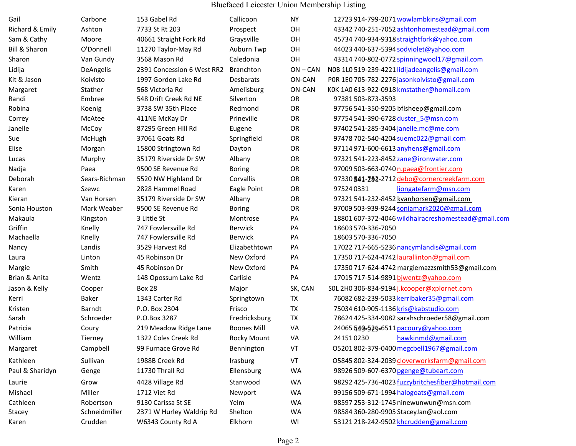Bluefaced Leicester Union Membership Listing

| Gail                     | Carbone       | 153 Gabel Rd               | Callicoon          | <b>NY</b>  | 12723 914-799-2071 wowlambkins@gmail.com            |
|--------------------------|---------------|----------------------------|--------------------|------------|-----------------------------------------------------|
| Richard & Emily          | Ashton        | 7733 St Rt 203             | Prospect           | OH         | 43342 740-251-7052 ashtonhomestead@gmail.com        |
| Sam & Cathy              | Moore         | 40661 Straight Fork Rd     | Graysville         | OH         | 45734 740-934-9318 straightfork@yahoo.com           |
| <b>Bill &amp; Sharon</b> | O'Donnell     | 11270 Taylor-May Rd        | Auburn Twp         | OH         | 44023 440-637-5394 sodviolet@yahoo.com              |
| Sharon                   | Van Gundy     | 3568 Mason Rd              | Caledonia          | OH         | 43314 740-802-0772 spinningwool17@gmail.com         |
| Lidija                   | DeAngelis     | 2391 Concession 6 West RR2 | <b>Branchton</b>   | $ON - CAN$ | NOB 1LO 519-239-4221 lidijadeangelis@gmail.com      |
| Kit & Jason              | Koivisto      | 1997 Gordon Lake Rd        | Desbarats          | ON-CAN     | POR 1E0 705-782-2276 jasonkoivisto@gmail.com        |
| Margaret                 | Stather       | 568 Victoria Rd            | Amelisburg         | ON-CAN     | KOK 1A0 613-922-0918 kmstather@homail.com           |
| Randi                    | Embree        | 548 Drift Creek Rd NE      | Silverton          | <b>OR</b>  | 97381 503-873-3593                                  |
| Robina                   | Koenig        | 3738 SW 35th Place         | Redmond            | OR         | 97756 541-350-9205 bflsheep@gmail.com               |
| Correy                   | McAtee        | 411NE McKay Dr             | Prineville         | OR         | 97754 541-390-6728 duster 5@msn.com                 |
| Janelle                  | McCoy         | 87295 Green Hill Rd        | Eugene             | OR         | 97402 541-285-3404 janelle.mc@me.com                |
| Sue                      | McHugh        | 37061 Goats Rd             | Springfield        | OR         | 97478 702-540-4204 suemc022@gmail.com               |
| Elise                    | Morgan        | 15800 Stringtown Rd        | Dayton             | OR         | 97114 971-600-6613 anyhens@gmail.com                |
| Lucas                    | Murphy        | 35179 Riverside Dr SW      | Albany             | OR         | 97321 541-223-8452 zane@ironwater.com               |
| Nadja                    | Paea          | 9500 SE Revenue Rd         | <b>Boring</b>      | <b>OR</b>  | 97009 503-663-0740 n.paea@frontier.com              |
| Deborah                  | Sears-Richman | 5520 NW Highland Dr        | Corvallis          | OR         | 97330 541-791-2712 debo@cornercreekfarm.com         |
| Karen                    | Szewc         | 2828 Hammel Road           | Eagle Point        | OR         | liongatefarm@msn.com<br>975240331                   |
| Kieran                   | Van Horsen    | 35179 Riverside Dr SW      | Albany             | OR         | 97321 541-232-8452 kvanhorsen@gmail.com             |
| Sonia Houston            | Mark Weaber   | 9500 SE Revenue Rd         | <b>Boring</b>      | OR         | 97009 503-939-9244 soniamark2020@gmail.com          |
| Makaula                  | Kingston      | 3 Little St                | Montrose           | PA         | 18801 607-372-4046 wildhairacreshomestead@gmail.com |
| Griffin                  | Knelly        | 747 Fowlersville Rd        | <b>Berwick</b>     | PA         | 18603 570-336-7050                                  |
| Machaella                | Knelly        | 747 Fowlersville Rd        | <b>Berwick</b>     | PA         | 18603 570-336-7050                                  |
| Nancy                    | Landis        | 3529 Harvest Rd            | Elizabethtown      | PA         | 17022 717-665-5236 nancymlandis@gmail.com           |
| Laura                    | Linton        | 45 Robinson Dr             | New Oxford         | PA         | 17350 717-624-4742 laurallinton@gmail.com           |
| Margie                   | Smith         | 45 Robinson Dr             | New Oxford         | PA         | 17350 717-624-4742 margiemazzsmith53@gmail.com      |
| Brian & Anita            | Wentz         | 148 Opossum Lake Rd        | Carlisle           | PA         | 17015 717-514-9891 bjwentz@yahoo.com                |
| Jason & Kelly            | Cooper        | <b>Box 28</b>              | Major              | SK, CAN    | SOL 2H0 306-834-9194 j.kcooper@xplornet.com         |
| Kerri                    | Baker         | 1343 Carter Rd             | Springtown         | TX         | 76082 682-239-5033 kerribaker35@gmail.com           |
| Kristen                  | Barndt        | P.O. Box 2304              | Frisco             | TX         | 75034 610-905-1136 kris@kabstudio.com               |
| Sarah                    | Schroeder     | P.O.Box 3287               | Fredricksburg      | TX         | 78624 425-334-9082 sarahschroeder58@gmail.com       |
| Patricia                 | Coury         | 219 Meadow Ridge Lane      | <b>Boones Mill</b> | VA         | 24065 549-529-6511 pacoury@yahoo.com                |
| William                  | Tierney       | 1322 Coles Creek Rd        | <b>Rocky Mount</b> | VA         | 241510230<br>hawkinmd@gmail.com                     |
| Margaret                 | Campbell      | 99 Furnace Grove Rd        | Bennington         | VT         | 05201 802-379-0400 megcbell1967@gmail.com           |
| Kathleen                 | Sullivan      | 1988B Creek Rd             | Irasburg           | VT         | 05845 802-324-2039 cloverworksfarm@gmail.com        |
| Paul & Sharidyn          | Genge         | 11730 Thrall Rd            | Ellensburg         | WA         | 98926 509-607-6370 pgenge@tubeart.com               |
| Laurie                   | Grow          | 4428 Village Rd            | Stanwood           | <b>WA</b>  | 98292 425-736-4023 fuzzybritchesfiber@hotmail.com   |
| Mishael                  | Miller        | 1712 Viet Rd               | Newport            | WA         | 99156 509-671-1994 halogoats@gmail.com              |
| Cathleen                 | Robertson     | 9130 Carissa St SE         | Yelm               | WA         | 98597 253-312-1745 ninewunwun@msn.com               |
| Stacey                   | Schneidmiller | 2371 W Hurley Waldrip Rd   | Shelton            | WA         | 98584 360-280-9905 StaceyJan@aol.com                |
| Karen                    | Crudden       | W6343 County Rd A          | Elkhorn            | WI         | 53121 218-242-9502 khcrudden@gmail.com              |